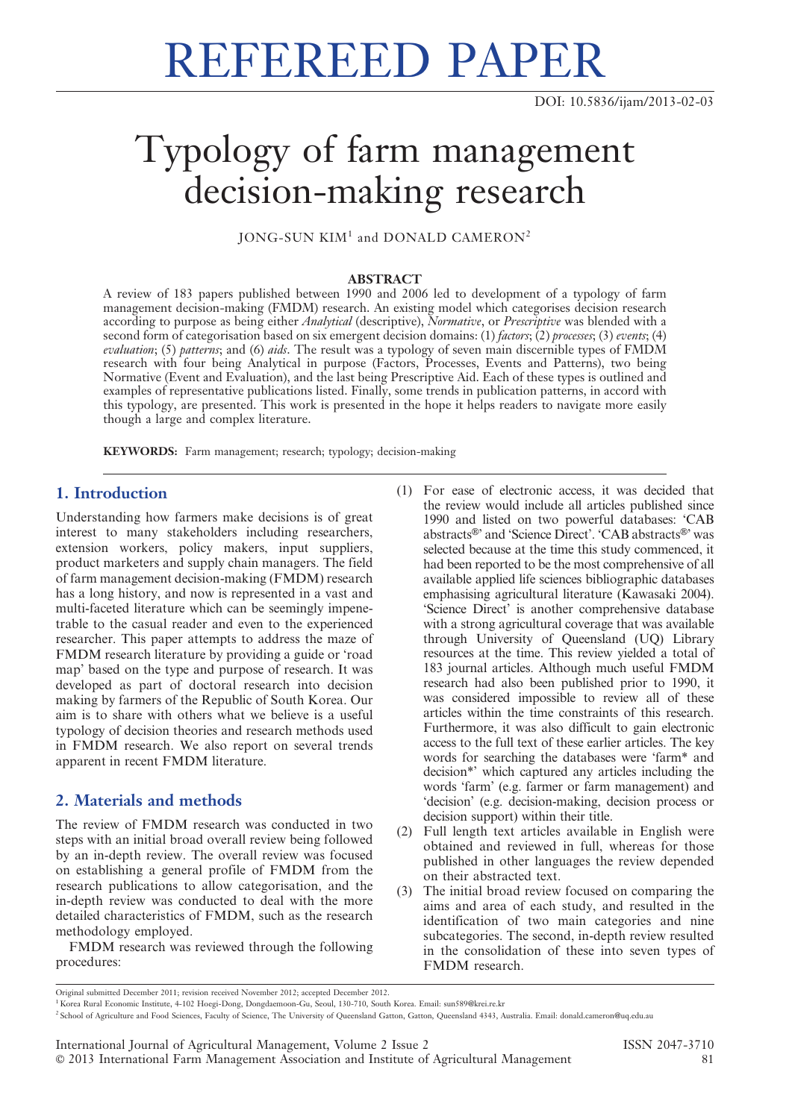# REFEREED PAPER

## Typology of farm management decision-making research

JONG-SUN KIM<sup>1</sup> and DONALD CAMERON<sup>2</sup>

#### ABSTRACT

A review of 183 papers published between 1990 and 2006 led to development of a typology of farm management decision-making (FMDM) research. An existing model which categorises decision research according to purpose as being either *Analytical* (descriptive), Normative, or Prescriptive was blended with a second form of categorisation based on six emergent decision domains: (1) factors; (2) processes; (3) events; (4) evaluation; (5) patterns; and (6) aids. The result was a typology of seven main discernible types of FMDM research with four being Analytical in purpose (Factors, Processes, Events and Patterns), two being Normative (Event and Evaluation), and the last being Prescriptive Aid. Each of these types is outlined and examples of representative publications listed. Finally, some trends in publication patterns, in accord with this typology, are presented. This work is presented in the hope it helps readers to navigate more easily though a large and complex literature.

KEYWORDS: Farm management; research; typology; decision-making

### 1. Introduction

Understanding how farmers make decisions is of great interest to many stakeholders including researchers, extension workers, policy makers, input suppliers, product marketers and supply chain managers. The field of farm management decision-making (FMDM) research has a long history, and now is represented in a vast and multi-faceted literature which can be seemingly impenetrable to the casual reader and even to the experienced researcher. This paper attempts to address the maze of FMDM research literature by providing a guide or 'road map' based on the type and purpose of research. It was developed as part of doctoral research into decision making by farmers of the Republic of South Korea. Our aim is to share with others what we believe is a useful typology of decision theories and research methods used in FMDM research. We also report on several trends apparent in recent FMDM literature.

#### 2. Materials and methods

The review of FMDM research was conducted in two steps with an initial broad overall review being followed by an in-depth review. The overall review was focused on establishing a general profile of FMDM from the research publications to allow categorisation, and the in-depth review was conducted to deal with the more detailed characteristics of FMDM, such as the research methodology employed.

FMDM research was reviewed through the following procedures:

- (1) For ease of electronic access, it was decided that the review would include all articles published since 1990 and listed on two powerful databases: 'CAB abstracts<sup>®</sup> and 'Science Direct'. 'CAB abstracts<sup>®</sup>' was selected because at the time this study commenced, it had been reported to be the most comprehensive of all available applied life sciences bibliographic databases emphasising agricultural literature (Kawasaki 2004). 'Science Direct' is another comprehensive database with a strong agricultural coverage that was available through University of Queensland (UQ) Library resources at the time. This review yielded a total of 183 journal articles. Although much useful FMDM research had also been published prior to 1990, it was considered impossible to review all of these articles within the time constraints of this research. Furthermore, it was also difficult to gain electronic access to the full text of these earlier articles. The key words for searching the databases were 'farm\* and decision\*' which captured any articles including the words 'farm' (e.g. farmer or farm management) and 'decision' (e.g. decision-making, decision process or decision support) within their title.
- (2) Full length text articles available in English were obtained and reviewed in full, whereas for those published in other languages the review depended on their abstracted text.
- (3) The initial broad review focused on comparing the aims and area of each study, and resulted in the identification of two main categories and nine subcategories. The second, in-depth review resulted in the consolidation of these into seven types of FMDM research.

Original submitted December 2011; revision received November 2012; accepted December 2012.

<sup>1</sup> Korea Rural Economic Institute, 4-102 Hoegi-Dong, Dongdaemoon-Gu, Seoul, 130-710, South Korea. Email: sun589@krei.re.kr

<sup>2</sup> School of Agriculture and Food Sciences, Faculty of Science, The University of Queensland Gatton, Gatton, Queensland 4343, Australia. Email: donald.cameron@uq.edu.au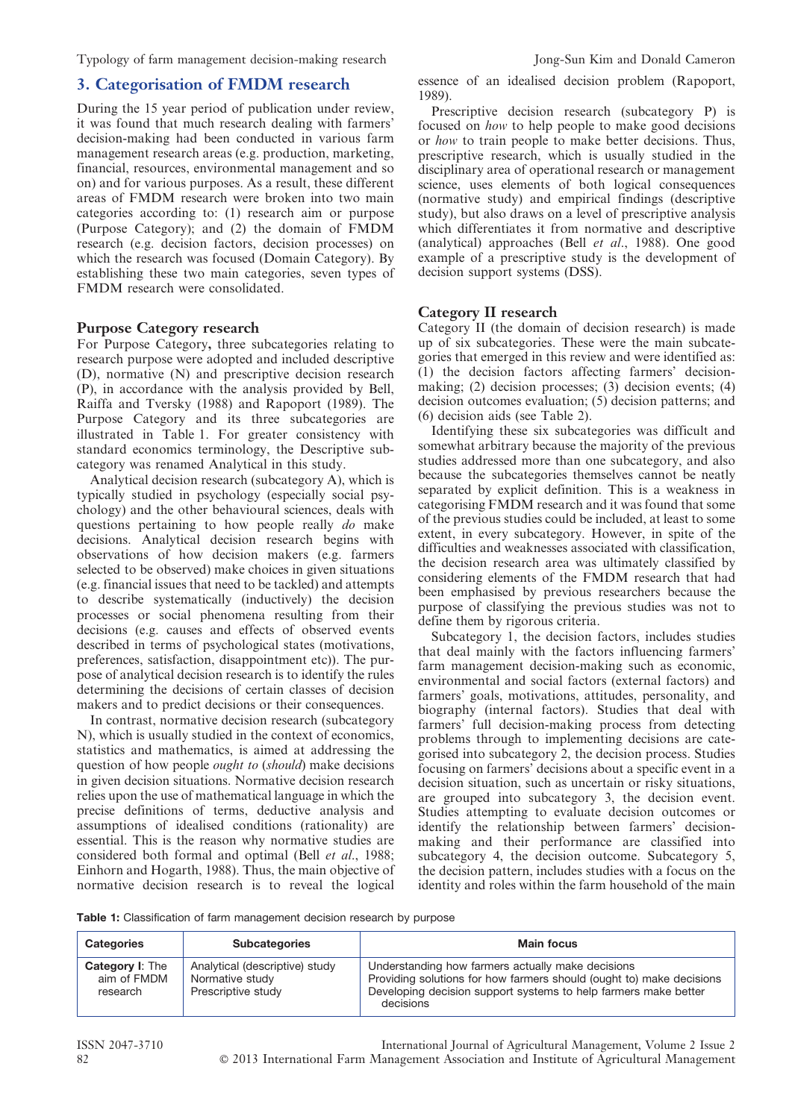#### 3. Categorisation of FMDM research

During the 15 year period of publication under review, it was found that much research dealing with farmers' decision-making had been conducted in various farm management research areas (e.g. production, marketing, financial, resources, environmental management and so on) and for various purposes. As a result, these different areas of FMDM research were broken into two main categories according to: (1) research aim or purpose (Purpose Category); and (2) the domain of FMDM research (e.g. decision factors, decision processes) on which the research was focused (Domain Category). By establishing these two main categories, seven types of FMDM research were consolidated.

#### Purpose Category research

For Purpose Category, three subcategories relating to research purpose were adopted and included descriptive (D), normative (N) and prescriptive decision research (P), in accordance with the analysis provided by Bell, Raiffa and Tversky (1988) and Rapoport (1989). The Purpose Category and its three subcategories are illustrated in Table 1. For greater consistency with standard economics terminology, the Descriptive subcategory was renamed Analytical in this study.

Analytical decision research (subcategory A), which is typically studied in psychology (especially social psychology) and the other behavioural sciences, deals with questions pertaining to how people really do make decisions. Analytical decision research begins with observations of how decision makers (e.g. farmers selected to be observed) make choices in given situations (e.g. financial issues that need to be tackled) and attempts to describe systematically (inductively) the decision processes or social phenomena resulting from their decisions (e.g. causes and effects of observed events described in terms of psychological states (motivations, preferences, satisfaction, disappointment etc)). The purpose of analytical decision research is to identify the rules determining the decisions of certain classes of decision makers and to predict decisions or their consequences.

In contrast, normative decision research (subcategory N), which is usually studied in the context of economics, statistics and mathematics, is aimed at addressing the question of how people *ought to (should)* make decisions in given decision situations. Normative decision research relies upon the use of mathematical language in which the precise definitions of terms, deductive analysis and assumptions of idealised conditions (rationality) are essential. This is the reason why normative studies are considered both formal and optimal (Bell et al., 1988; Einhorn and Hogarth, 1988). Thus, the main objective of normative decision research is to reveal the logical essence of an idealised decision problem (Rapoport, 1989).

Prescriptive decision research (subcategory P) is focused on how to help people to make good decisions or how to train people to make better decisions. Thus, prescriptive research, which is usually studied in the disciplinary area of operational research or management science, uses elements of both logical consequences (normative study) and empirical findings (descriptive study), but also draws on a level of prescriptive analysis which differentiates it from normative and descriptive (analytical) approaches (Bell et al., 1988). One good example of a prescriptive study is the development of decision support systems (DSS).

#### Category II research

Category II (the domain of decision research) is made up of six subcategories. These were the main subcategories that emerged in this review and were identified as: (1) the decision factors affecting farmers' decisionmaking; (2) decision processes; (3) decision events; (4) decision outcomes evaluation; (5) decision patterns; and (6) decision aids (see Table 2).

Identifying these six subcategories was difficult and somewhat arbitrary because the majority of the previous studies addressed more than one subcategory, and also because the subcategories themselves cannot be neatly separated by explicit definition. This is a weakness in categorising FMDM research and it was found that some of the previous studies could be included, at least to some extent, in every subcategory. However, in spite of the difficulties and weaknesses associated with classification, the decision research area was ultimately classified by considering elements of the FMDM research that had been emphasised by previous researchers because the purpose of classifying the previous studies was not to define them by rigorous criteria.

Subcategory 1, the decision factors, includes studies that deal mainly with the factors influencing farmers' farm management decision-making such as economic, environmental and social factors (external factors) and farmers' goals, motivations, attitudes, personality, and biography (internal factors). Studies that deal with farmers' full decision-making process from detecting problems through to implementing decisions are categorised into subcategory 2, the decision process. Studies focusing on farmers' decisions about a specific event in a decision situation, such as uncertain or risky situations, are grouped into subcategory 3, the decision event. Studies attempting to evaluate decision outcomes or identify the relationship between farmers' decisionmaking and their performance are classified into subcategory 4, the decision outcome. Subcategory 5, the decision pattern, includes studies with a focus on the identity and roles within the farm household of the main

Table 1: Classification of farm management decision research by purpose

| <b>Categories</b>                                 | <b>Subcategories</b>                                                    | <b>Main focus</b>                                                                                                                                                                                         |
|---------------------------------------------------|-------------------------------------------------------------------------|-----------------------------------------------------------------------------------------------------------------------------------------------------------------------------------------------------------|
| <b>Category I: The</b><br>aim of FMDM<br>research | Analytical (descriptive) study<br>Normative study<br>Prescriptive study | Understanding how farmers actually make decisions<br>Providing solutions for how farmers should (ought to) make decisions<br>Developing decision support systems to help farmers make better<br>decisions |

ISSN 2047-3710 International Journal of Agricultural Management, Volume 2 Issue 2 82 **82** 2013 International Farm Management Association and Institute of Agricultural Management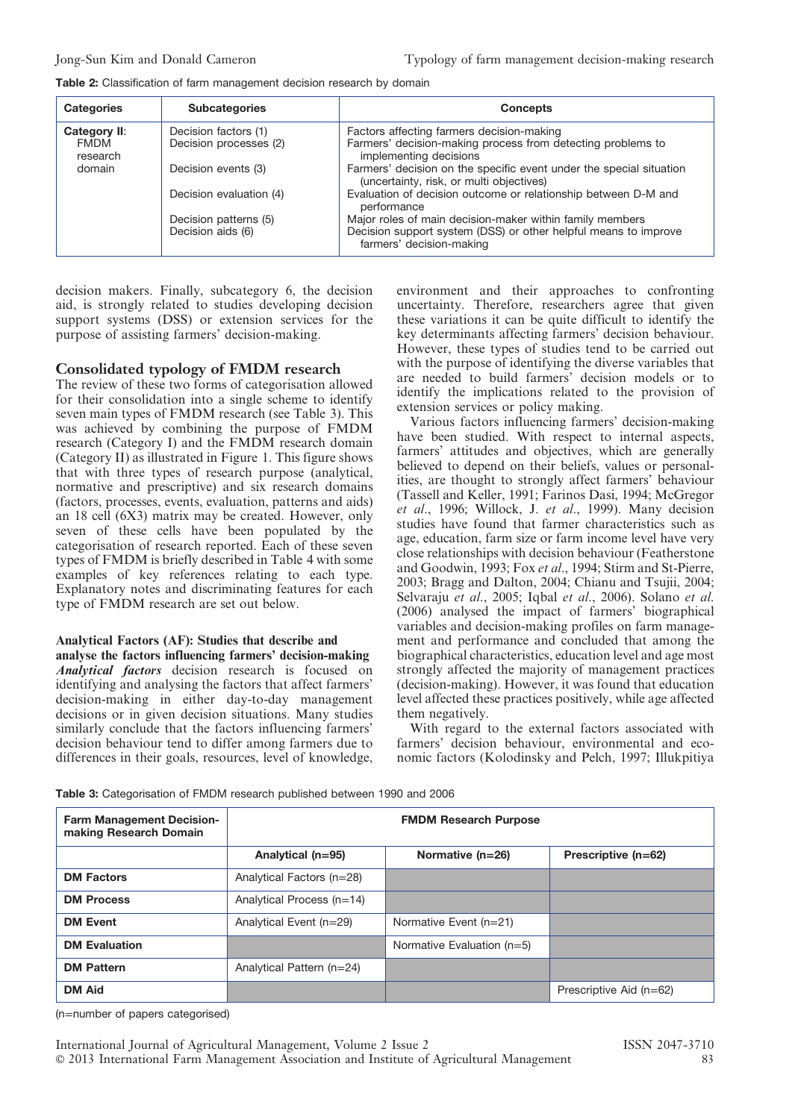| Table 2: Classification of farm management decision research by domain |  |
|------------------------------------------------------------------------|--|
|------------------------------------------------------------------------|--|

| <b>Categories</b>                       | <b>Subcategories</b>                           | <b>Concepts</b>                                                                                                                    |
|-----------------------------------------|------------------------------------------------|------------------------------------------------------------------------------------------------------------------------------------|
| Category II:<br><b>FMDM</b><br>research | Decision factors (1)<br>Decision processes (2) | Factors affecting farmers decision-making<br>Farmers' decision-making process from detecting problems to<br>implementing decisions |
| domain                                  | Decision events (3)                            | Farmers' decision on the specific event under the special situation<br>(uncertainty, risk, or multi objectives)                    |
|                                         | Decision evaluation (4)                        | Evaluation of decision outcome or relationship between D-M and<br>performance                                                      |
|                                         | Decision patterns (5)                          | Major roles of main decision-maker within family members                                                                           |
|                                         | Decision aids (6)                              | Decision support system (DSS) or other helpful means to improve<br>farmers' decision-making                                        |

decision makers. Finally, subcategory 6, the decision aid, is strongly related to studies developing decision support systems (DSS) or extension services for the purpose of assisting farmers' decision-making.

#### Consolidated typology of FMDM research

The review of these two forms of categorisation allowed for their consolidation into a single scheme to identify seven main types of FMDM research (see Table 3). This was achieved by combining the purpose of FMDM research (Category I) and the FMDM research domain (Category II) as illustrated in Figure 1. This figure shows that with three types of research purpose (analytical, normative and prescriptive) and six research domains (factors, processes, events, evaluation, patterns and aids) an 18 cell (6X3) matrix may be created. However, only seven of these cells have been populated by the categorisation of research reported. Each of these seven types of FMDM is briefly described in Table 4 with some examples of key references relating to each type. Explanatory notes and discriminating features for each type of FMDM research are set out below.

#### Analytical Factors (AF): Studies that describe and

analyse the factors influencing farmers' decision-making Analytical factors decision research is focused on identifying and analysing the factors that affect farmers' decision-making in either day-to-day management decisions or in given decision situations. Many studies similarly conclude that the factors influencing farmers' decision behaviour tend to differ among farmers due to differences in their goals, resources, level of knowledge, environment and their approaches to confronting uncertainty. Therefore, researchers agree that given these variations it can be quite difficult to identify the key determinants affecting farmers' decision behaviour. However, these types of studies tend to be carried out with the purpose of identifying the diverse variables that are needed to build farmers' decision models or to identify the implications related to the provision of extension services or policy making.

Various factors influencing farmers' decision-making have been studied. With respect to internal aspects, farmers' attitudes and objectives, which are generally believed to depend on their beliefs, values or personalities, are thought to strongly affect farmers' behaviour (Tassell and Keller, 1991; Farinos Dasi, 1994; McGregor et al., 1996; Willock, J. et al., 1999). Many decision studies have found that farmer characteristics such as age, education, farm size or farm income level have very close relationships with decision behaviour (Featherstone and Goodwin, 1993; Fox et al., 1994; Stirm and St-Pierre, 2003; Bragg and Dalton, 2004; Chianu and Tsujii, 2004; Selvaraju et al., 2005; Iqbal et al., 2006). Solano et al. (2006) analysed the impact of farmers' biographical variables and decision-making profiles on farm management and performance and concluded that among the biographical characteristics, education level and age most strongly affected the majority of management practices (decision-making). However, it was found that education level affected these practices positively, while age affected them negatively.

With regard to the external factors associated with farmers' decision behaviour, environmental and economic factors (Kolodinsky and Pelch, 1997; Illukpitiya

| <b>Farm Management Decision-</b><br>making Research Domain |                           | <b>FMDM Research Purpose</b> |                         |
|------------------------------------------------------------|---------------------------|------------------------------|-------------------------|
|                                                            | Analytical (n=95)         | Normative $(n=26)$           | Prescriptive (n=62)     |
| <b>DM Factors</b>                                          | Analytical Factors (n=28) |                              |                         |
| <b>DM Process</b>                                          | Analytical Process (n=14) |                              |                         |
| <b>DM Event</b>                                            | Analytical Event (n=29)   | Normative Event $(n=21)$     |                         |
| <b>DM Evaluation</b>                                       |                           | Normative Evaluation $(n=5)$ |                         |
| <b>DM Pattern</b>                                          | Analytical Pattern (n=24) |                              |                         |
| <b>DM Aid</b>                                              |                           |                              | Prescriptive Aid (n=62) |
| a superior of poportion and positional                     |                           |                              |                         |

Table 3: Categorisation of FMDM research published between 1990 and 2006

(n=number of papers categorised)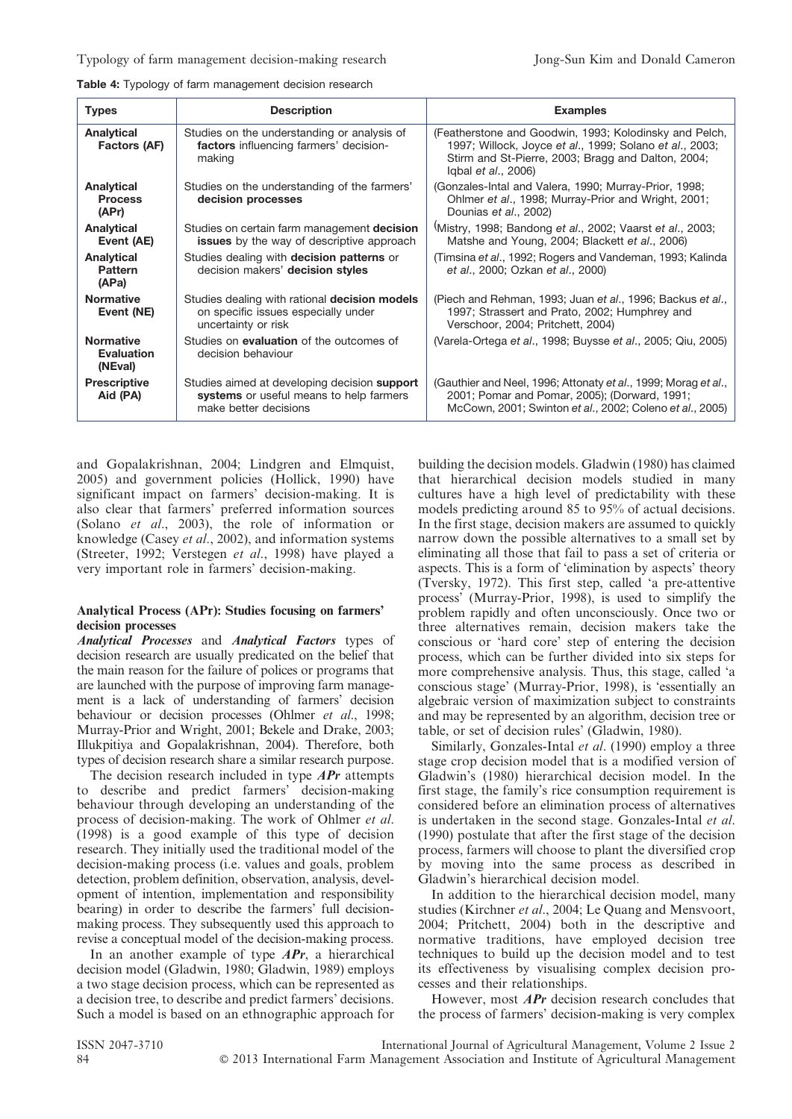|  |  |  | Table 4: Typology of farm management decision research |  |  |
|--|--|--|--------------------------------------------------------|--|--|
|--|--|--|--------------------------------------------------------|--|--|

| <b>Types</b>                                     | <b>Description</b>                                                                                               | <b>Examples</b>                                                                                                                                                                                        |
|--------------------------------------------------|------------------------------------------------------------------------------------------------------------------|--------------------------------------------------------------------------------------------------------------------------------------------------------------------------------------------------------|
| Analytical<br><b>Factors (AF)</b>                | Studies on the understanding or analysis of<br>factors influencing farmers' decision-<br>making                  | (Featherstone and Goodwin, 1993; Kolodinsky and Pelch,<br>1997; Willock, Joyce et al., 1999; Solano et al., 2003;<br>Stirm and St-Pierre, 2003; Bragg and Dalton, 2004;<br>lgbal <i>et al.</i> , 2006) |
| Analytical<br><b>Process</b><br>(APr)            | Studies on the understanding of the farmers'<br>decision processes                                               | (Gonzales-Intal and Valera, 1990; Murray-Prior, 1998;<br>Ohlmer et al., 1998; Murray-Prior and Wright, 2001;<br>Dounias et al., 2002)                                                                  |
| Analytical<br>Event (AE)                         | Studies on certain farm management decision<br><b>issues</b> by the way of descriptive approach                  | Mistry, 1998; Bandong et al., 2002; Vaarst et al., 2003;<br>Matshe and Young, 2004; Blackett et al., 2006)                                                                                             |
| Analytical<br><b>Pattern</b><br>(APa)            | Studies dealing with decision patterns or<br>decision makers' decision styles                                    | (Timsina et al., 1992; Rogers and Vandeman, 1993; Kalinda<br>et al., 2000; Ozkan et al., 2000)                                                                                                         |
| <b>Normative</b><br>Event (NE)                   | Studies dealing with rational decision models<br>on specific issues especially under<br>uncertainty or risk      | (Piech and Rehman, 1993; Juan et al., 1996; Backus et al.,<br>1997; Strassert and Prato, 2002; Humphrey and<br>Verschoor, 2004; Pritchett, 2004)                                                       |
| <b>Normative</b><br><b>Evaluation</b><br>(NEval) | Studies on <b>evaluation</b> of the outcomes of<br>decision behaviour                                            | (Varela-Ortega et al., 1998; Buysse et al., 2005; Qiu, 2005)                                                                                                                                           |
| <b>Prescriptive</b><br>Aid (PA)                  | Studies aimed at developing decision support<br>systems or useful means to help farmers<br>make better decisions | (Gauthier and Neel, 1996; Attonaty et al., 1999; Morag et al.,<br>2001; Pomar and Pomar, 2005); (Dorward, 1991;<br>McCown, 2001; Swinton et al., 2002; Coleno et al., 2005)                            |

and Gopalakrishnan, 2004; Lindgren and Elmquist, 2005) and government policies (Hollick, 1990) have significant impact on farmers' decision-making. It is also clear that farmers' preferred information sources (Solano et al., 2003), the role of information or knowledge (Casey et al., 2002), and information systems (Streeter, 1992; Verstegen et al., 1998) have played a very important role in farmers' decision-making.

#### Analytical Process (APr): Studies focusing on farmers' decision processes

Analytical Processes and Analytical Factors types of decision research are usually predicated on the belief that the main reason for the failure of polices or programs that are launched with the purpose of improving farm management is a lack of understanding of farmers' decision behaviour or decision processes (Ohlmer et al., 1998; Murray-Prior and Wright, 2001; Bekele and Drake, 2003; Illukpitiya and Gopalakrishnan, 2004). Therefore, both types of decision research share a similar research purpose.

The decision research included in type  $APr$  attempts to describe and predict farmers' decision-making behaviour through developing an understanding of the process of decision-making. The work of Ohlmer et al. (1998) is a good example of this type of decision research. They initially used the traditional model of the decision-making process (i.e. values and goals, problem detection, problem definition, observation, analysis, development of intention, implementation and responsibility bearing) in order to describe the farmers' full decisionmaking process. They subsequently used this approach to revise a conceptual model of the decision-making process.

In an another example of type  $APr$ , a hierarchical decision model (Gladwin, 1980; Gladwin, 1989) employs a two stage decision process, which can be represented as a decision tree, to describe and predict farmers' decisions. Such a model is based on an ethnographic approach for building the decision models. Gladwin (1980) has claimed that hierarchical decision models studied in many cultures have a high level of predictability with these models predicting around 85 to 95% of actual decisions. In the first stage, decision makers are assumed to quickly narrow down the possible alternatives to a small set by eliminating all those that fail to pass a set of criteria or aspects. This is a form of 'elimination by aspects' theory (Tversky, 1972). This first step, called 'a pre-attentive process' (Murray-Prior, 1998), is used to simplify the problem rapidly and often unconsciously. Once two or three alternatives remain, decision makers take the conscious or 'hard core' step of entering the decision process, which can be further divided into six steps for more comprehensive analysis. Thus, this stage, called 'a conscious stage' (Murray-Prior, 1998), is 'essentially an algebraic version of maximization subject to constraints and may be represented by an algorithm, decision tree or table, or set of decision rules' (Gladwin, 1980).

Similarly, Gonzales-Intal et al. (1990) employ a three stage crop decision model that is a modified version of Gladwin's (1980) hierarchical decision model. In the first stage, the family's rice consumption requirement is considered before an elimination process of alternatives is undertaken in the second stage. Gonzales-Intal et al. (1990) postulate that after the first stage of the decision process, farmers will choose to plant the diversified crop by moving into the same process as described in Gladwin's hierarchical decision model.

In addition to the hierarchical decision model, many studies (Kirchner et al., 2004; Le Quang and Mensvoort, 2004; Pritchett, 2004) both in the descriptive and normative traditions, have employed decision tree techniques to build up the decision model and to test its effectiveness by visualising complex decision processes and their relationships.

However, most APr decision research concludes that the process of farmers' decision-making is very complex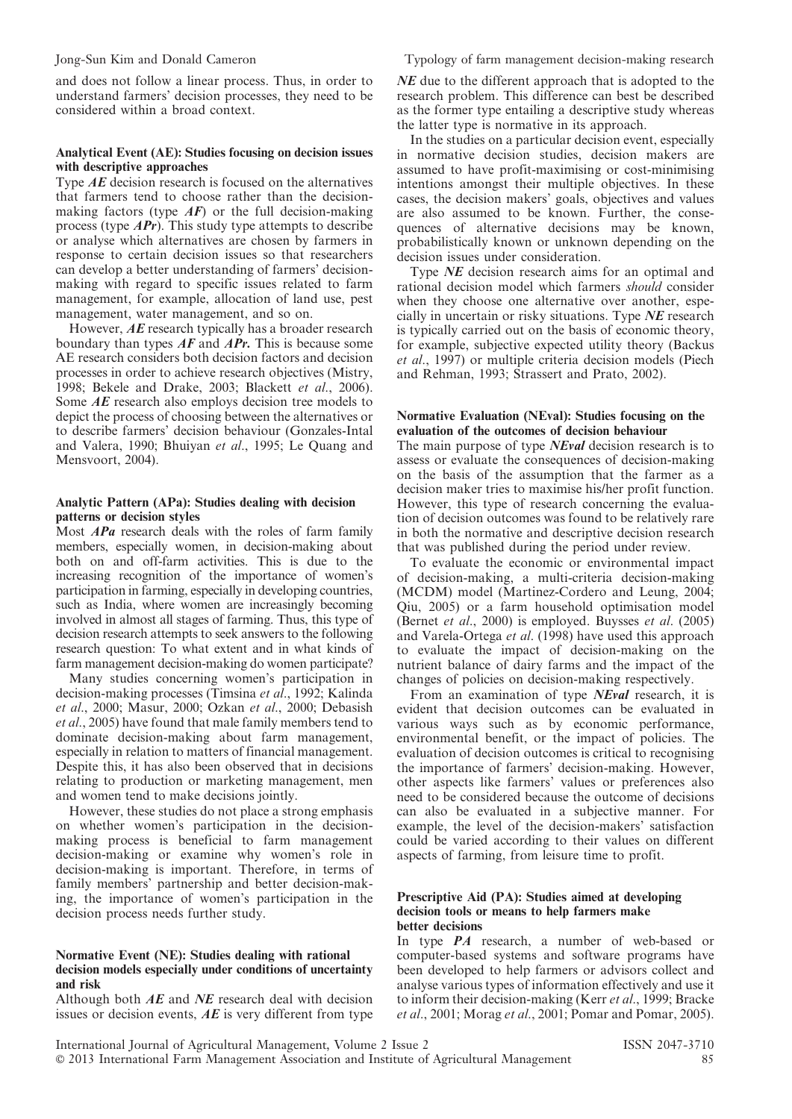and does not follow a linear process. Thus, in order to understand farmers' decision processes, they need to be considered within a broad context.

#### Analytical Event (AE): Studies focusing on decision issues with descriptive approaches

Type  $AE$  decision research is focused on the alternatives that farmers tend to choose rather than the decisionmaking factors (type  $AF$ ) or the full decision-making process (type  $APr$ ). This study type attempts to describe or analyse which alternatives are chosen by farmers in response to certain decision issues so that researchers can develop a better understanding of farmers' decisionmaking with regard to specific issues related to farm management, for example, allocation of land use, pest management, water management, and so on.

However, AE research typically has a broader research boundary than types  $AF$  and  $APr$ . This is because some AE research considers both decision factors and decision processes in order to achieve research objectives (Mistry, 1998; Bekele and Drake, 2003; Blackett et al., 2006). Some AE research also employs decision tree models to depict the process of choosing between the alternatives or to describe farmers' decision behaviour (Gonzales-Intal and Valera, 1990; Bhuiyan et al., 1995; Le Quang and Mensvoort, 2004).

#### Analytic Pattern (APa): Studies dealing with decision patterns or decision styles

Most *APa* research deals with the roles of farm family members, especially women, in decision-making about both on and off-farm activities. This is due to the increasing recognition of the importance of women's participation in farming, especially in developing countries, such as India, where women are increasingly becoming involved in almost all stages of farming. Thus, this type of decision research attempts to seek answers to the following research question: To what extent and in what kinds of farm management decision-making do women participate?

Many studies concerning women's participation in decision-making processes (Timsina et al., 1992; Kalinda et al., 2000; Masur, 2000; Ozkan et al., 2000; Debasish et al., 2005) have found that male family members tend to dominate decision-making about farm management, especially in relation to matters of financial management. Despite this, it has also been observed that in decisions relating to production or marketing management, men and women tend to make decisions jointly.

However, these studies do not place a strong emphasis on whether women's participation in the decisionmaking process is beneficial to farm management decision-making or examine why women's role in decision-making is important. Therefore, in terms of family members' partnership and better decision-making, the importance of women's participation in the decision process needs further study.

#### Normative Event (NE): Studies dealing with rational decision models especially under conditions of uncertainty and risk

Although both  $AE$  and  $NE$  research deal with decision issues or decision events,  $AE$  is very different from type

#### Jong-Sun Kim and Donald Cameron Typology of farm management decision-making research

 $NE$  due to the different approach that is adopted to the research problem. This difference can best be described as the former type entailing a descriptive study whereas the latter type is normative in its approach.

In the studies on a particular decision event, especially in normative decision studies, decision makers are assumed to have profit-maximising or cost-minimising intentions amongst their multiple objectives. In these cases, the decision makers' goals, objectives and values are also assumed to be known. Further, the consequences of alternative decisions may be known, probabilistically known or unknown depending on the decision issues under consideration.

Type *NE* decision research aims for an optimal and rational decision model which farmers should consider when they choose one alternative over another, especially in uncertain or risky situations. Type NE research is typically carried out on the basis of economic theory, for example, subjective expected utility theory (Backus et al., 1997) or multiple criteria decision models (Piech and Rehman, 1993; Strassert and Prato, 2002).

#### Normative Evaluation (NEval): Studies focusing on the evaluation of the outcomes of decision behaviour

The main purpose of type *NEval* decision research is to assess or evaluate the consequences of decision-making on the basis of the assumption that the farmer as a decision maker tries to maximise his/her profit function. However, this type of research concerning the evaluation of decision outcomes was found to be relatively rare in both the normative and descriptive decision research that was published during the period under review.

To evaluate the economic or environmental impact of decision-making, a multi-criteria decision-making (MCDM) model (Martinez-Cordero and Leung, 2004; Qiu, 2005) or a farm household optimisation model (Bernet et al., 2000) is employed. Buysses et al. (2005) and Varela-Ortega et al. (1998) have used this approach to evaluate the impact of decision-making on the nutrient balance of dairy farms and the impact of the changes of policies on decision-making respectively.

From an examination of type *NEval* research, it is evident that decision outcomes can be evaluated in various ways such as by economic performance, environmental benefit, or the impact of policies. The evaluation of decision outcomes is critical to recognising the importance of farmers' decision-making. However, other aspects like farmers' values or preferences also need to be considered because the outcome of decisions can also be evaluated in a subjective manner. For example, the level of the decision-makers' satisfaction could be varied according to their values on different aspects of farming, from leisure time to profit.

#### Prescriptive Aid (PA): Studies aimed at developing decision tools or means to help farmers make better decisions

In type PA research, a number of web-based or computer-based systems and software programs have been developed to help farmers or advisors collect and analyse various types of information effectively and use it to inform their decision-making (Kerr et al., 1999; Bracke et al., 2001; Morag et al., 2001; Pomar and Pomar, 2005).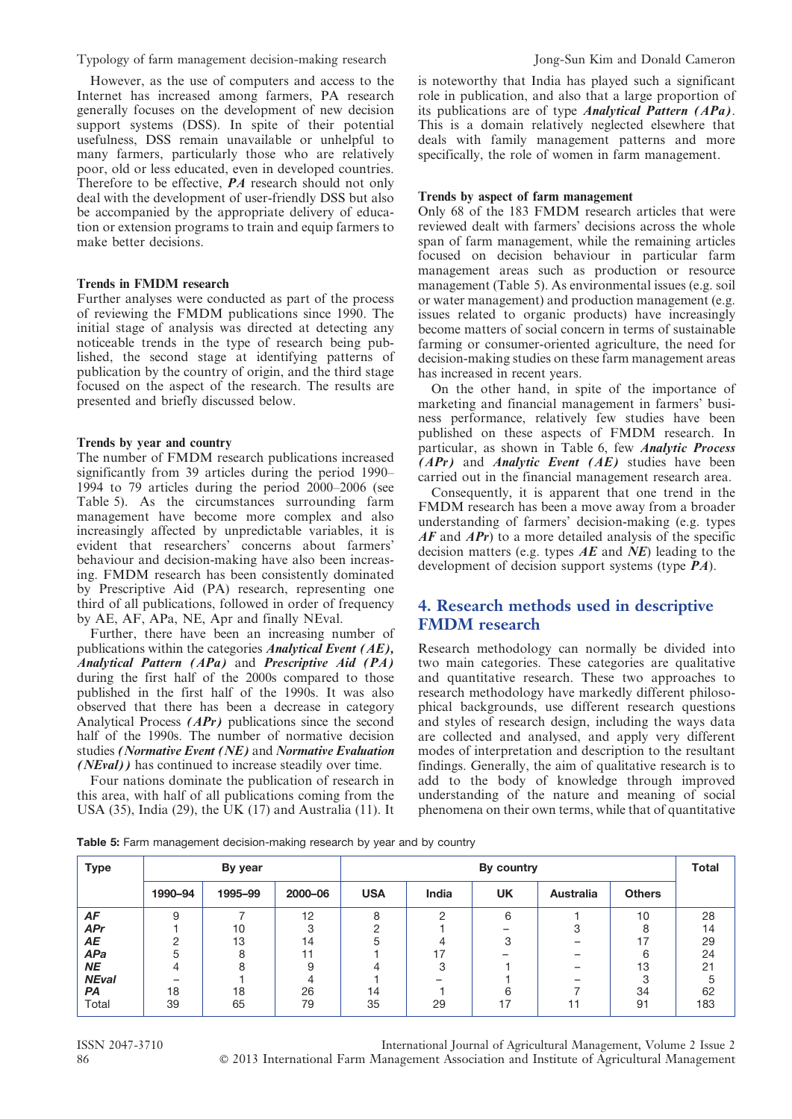However, as the use of computers and access to the Internet has increased among farmers, PA research generally focuses on the development of new decision support systems (DSS). In spite of their potential usefulness, DSS remain unavailable or unhelpful to many farmers, particularly those who are relatively poor, old or less educated, even in developed countries. Therefore to be effective,  $\overline{PA}$  research should not only deal with the development of user-friendly DSS but also be accompanied by the appropriate delivery of education or extension programs to train and equip farmers to make better decisions.

#### Trends in FMDM research

Further analyses were conducted as part of the process of reviewing the FMDM publications since 1990. The initial stage of analysis was directed at detecting any noticeable trends in the type of research being published, the second stage at identifying patterns of publication by the country of origin, and the third stage focused on the aspect of the research. The results are presented and briefly discussed below.

#### Trends by year and country

The number of FMDM research publications increased significantly from 39 articles during the period 1990– 1994 to 79 articles during the period 2000–2006 (see Table 5). As the circumstances surrounding farm management have become more complex and also increasingly affected by unpredictable variables, it is evident that researchers' concerns about farmers' behaviour and decision-making have also been increasing. FMDM research has been consistently dominated by Prescriptive Aid (PA) research, representing one third of all publications, followed in order of frequency by AE, AF, APa, NE, Apr and finally NEval.

Further, there have been an increasing number of publications within the categories Analytical Event  $(AE)$ , Analytical Pattern (APa) and Prescriptive Aid (PA) during the first half of the 2000s compared to those published in the first half of the 1990s. It was also observed that there has been a decrease in category Analytical Process (APr) publications since the second half of the 1990s. The number of normative decision studies (Normative Event (NE) and Normative Evaluation (NEval)) has continued to increase steadily over time.

Four nations dominate the publication of research in this area, with half of all publications coming from the USA  $(35)$ , India  $(29)$ , the UK  $(17)$  and Australia  $(11)$ . It is noteworthy that India has played such a significant role in publication, and also that a large proportion of its publications are of type Analytical Pattern (APa). This is a domain relatively neglected elsewhere that deals with family management patterns and more specifically, the role of women in farm management.

#### Trends by aspect of farm management

Only 68 of the 183 FMDM research articles that were reviewed dealt with farmers' decisions across the whole span of farm management, while the remaining articles focused on decision behaviour in particular farm management areas such as production or resource management (Table 5). As environmental issues (e.g. soil or water management) and production management (e.g. issues related to organic products) have increasingly become matters of social concern in terms of sustainable farming or consumer-oriented agriculture, the need for decision-making studies on these farm management areas has increased in recent years.

On the other hand, in spite of the importance of marketing and financial management in farmers' business performance, relatively few studies have been published on these aspects of FMDM research. In particular, as shown in Table 6, few Analytic Process  $(APr)$  and *Analytic Event (AE)* studies have been carried out in the financial management research area.

Consequently, it is apparent that one trend in the FMDM research has been a move away from a broader understanding of farmers' decision-making (e.g. types  $AF$  and  $APr$ ) to a more detailed analysis of the specific decision matters (e.g. types  $AE$  and  $NE$ ) leading to the development of decision support systems (type  $PA$ ).

#### 4. Research methods used in descriptive FMDM research

Research methodology can normally be divided into two main categories. These categories are qualitative and quantitative research. These two approaches to research methodology have markedly different philosophical backgrounds, use different research questions and styles of research design, including the ways data are collected and analysed, and apply very different modes of interpretation and description to the resultant findings. Generally, the aim of qualitative research is to add to the body of knowledge through improved understanding of the nature and meaning of social phenomena on their own terms, while that of quantitative

Table 5: Farm management decision-making research by year and by country

| <b>Type</b>  |         | By year |         |            |       | By country |                  |               | <b>Total</b> |
|--------------|---------|---------|---------|------------|-------|------------|------------------|---------------|--------------|
|              | 1990-94 | 1995-99 | 2000-06 | <b>USA</b> | India | <b>UK</b>  | <b>Australia</b> | <b>Others</b> |              |
| AF           | 9       |         | 12      | 8          | ∩     | 6          |                  | 10            | 28           |
| <b>APr</b>   |         | 10      | ◠       | C          |       |            | C                |               | 14           |
| AE           |         | 13      | 14      |            |       | ◠          |                  | 17            | 29           |
| APa          |         | 8       | 11      |            |       |            |                  | 6             | 24           |
| <b>NE</b>    | 4       |         | 9       |            | З     |            |                  | 13            | 21           |
| <b>NEval</b> |         |         |         |            |       |            |                  |               | 5            |
| <b>PA</b>    | 18      | 18      | 26      | 14         |       |            |                  | 34            | 62           |
| Total        | 39      | 65      | 79      | 35         | 29    |            | 11               | 91            | 183          |

ISSN 2047-3710 International Journal of Agricultural Management, Volume 2 Issue 2 86 ' 2013 International Farm Management Association and Institute of Agricultural Management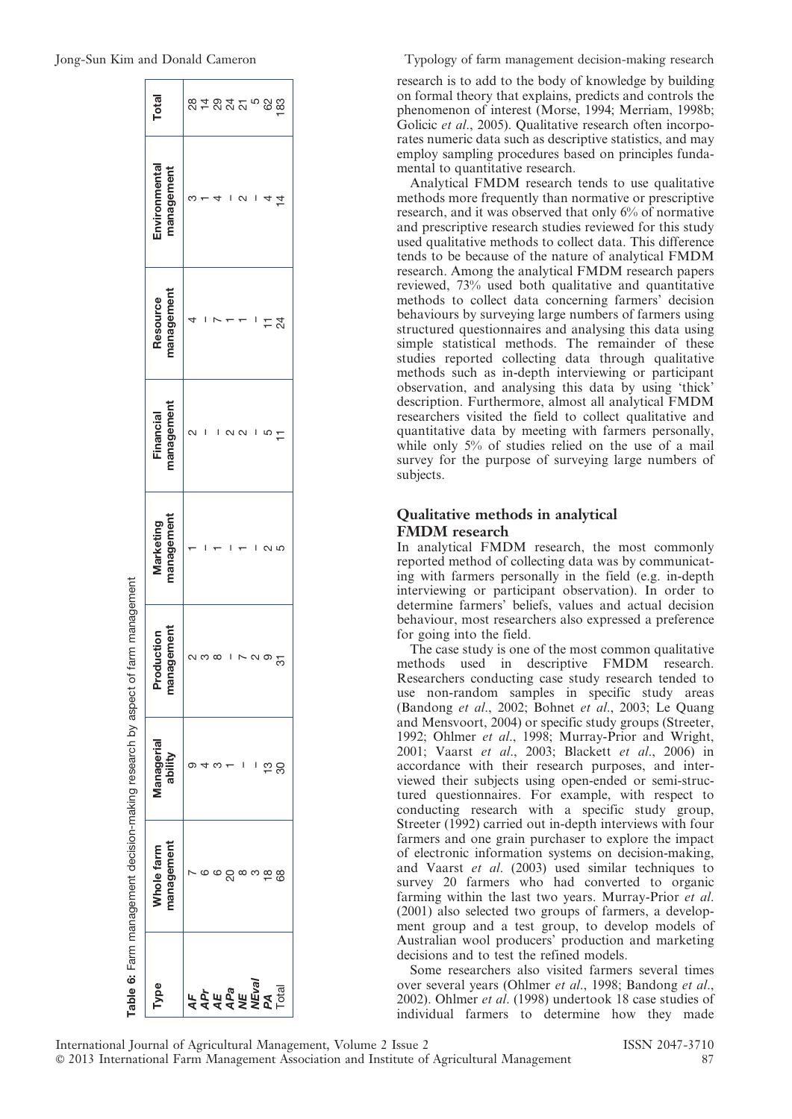| Type                             | management<br>Whole farm | Managerial<br>ability | management<br>Production | management<br>Marketing | management<br>Financial | management<br>Resource | Environmental<br>management | <b>Total</b> |
|----------------------------------|--------------------------|-----------------------|--------------------------|-------------------------|-------------------------|------------------------|-----------------------------|--------------|
| 4 <sup>F</sup>                   |                          |                       | N                        |                         |                         |                        |                             |              |
|                                  |                          |                       | S                        |                         |                         |                        |                             |              |
| प्रमुख<br>पुरुष बार<br>पुरुष बार | ဖ                        |                       | ∞                        |                         |                         |                        |                             | 849415       |
|                                  | 20                       |                       | I                        |                         |                         |                        |                             |              |
|                                  | $\infty$                 |                       |                          |                         |                         |                        |                             |              |
|                                  | ო                        |                       |                          |                         |                         |                        |                             |              |
| PA<br>Total                      | φ                        | က်<br>(               | თ                        |                         |                         |                        |                             | 62           |
|                                  | 89                       | 80                    |                          |                         | H                       | 24                     | 4                           | 183          |

Jong-Sun Kim and Donald Cameron Typology of farm management decision-making research

research is to add to the body of knowledge by building on formal theory that explains, predicts and controls the phenomenon of interest (Morse, 1994; Merriam, 1998b; Golicic et al., 2005). Qualitative research often incorporates numeric data such as descriptive statistics, and may employ sampling procedures based on principles fundamental to quantitative research.

Analytical FMDM research tends to use qualitative methods more frequently than normative or prescriptive research, and it was observed that only 6% of normative and prescriptive research studies reviewed for this study used qualitative methods to collect data. This difference tends to be because of the nature of analytical FMDM research. Among the analytical FMDM research papers reviewed, 73% used both qualitative and quantitative methods to collect data concerning farmers' decision behaviours by surveying large numbers of farmers using structured questionnaires and analysing this data using simple statistical methods. The remainder of these studies reported collecting data through qualitative methods such as in-depth interviewing or participant observation, and analysing this data by using 'thick' description. Furthermore, almost all analytical FMDM researchers visited the field to collect qualitative and quantitative data by meeting with farmers personally, while only 5% of studies relied on the use of a mail survey for the purpose of surveying large numbers of subjects.

#### Qualitative methods in analytical FMDM research

In analytical FMDM research, the most commonly reported method of collecting data was by communicating with farmers personally in the field (e.g. in-depth interviewing or participant observation). In order to determine farmers' beliefs, values and actual decision behaviour, most researchers also expressed a preference for going into the field.

The case study is one of the most common qualitative methods used in descriptive FMDM research. Researchers conducting case study research tended to use non-random samples in specific study areas (Bandong et al., 2002; Bohnet et al., 2003; Le Quang and Mensvoort, 2004) or specific study groups (Streeter, 1992; Ohlmer et al., 1998; Murray-Prior and Wright, 2001; Vaarst et al., 2003; Blackett et al., 2006) in accordance with their research purposes, and interviewed their subjects using open-ended or semi-structured questionnaires. For example, with respect to conducting research with a specific study group, Streeter (1992) carried out in-depth interviews with four farmers and one grain purchaser to explore the impact of electronic information systems on decision-making, and Vaarst et al. (2003) used similar techniques to survey 20 farmers who had converted to organic farming within the last two years. Murray-Prior et al. (2001) also selected two groups of farmers, a development group and a test group, to develop models of Australian wool producers' production and marketing decisions and to test the refined models.

Some researchers also visited farmers several times over several years (Ohlmer et al., 1998; Bandong et al., 2002). Ohlmer et al. (1998) undertook 18 case studies of individual farmers to determine how they made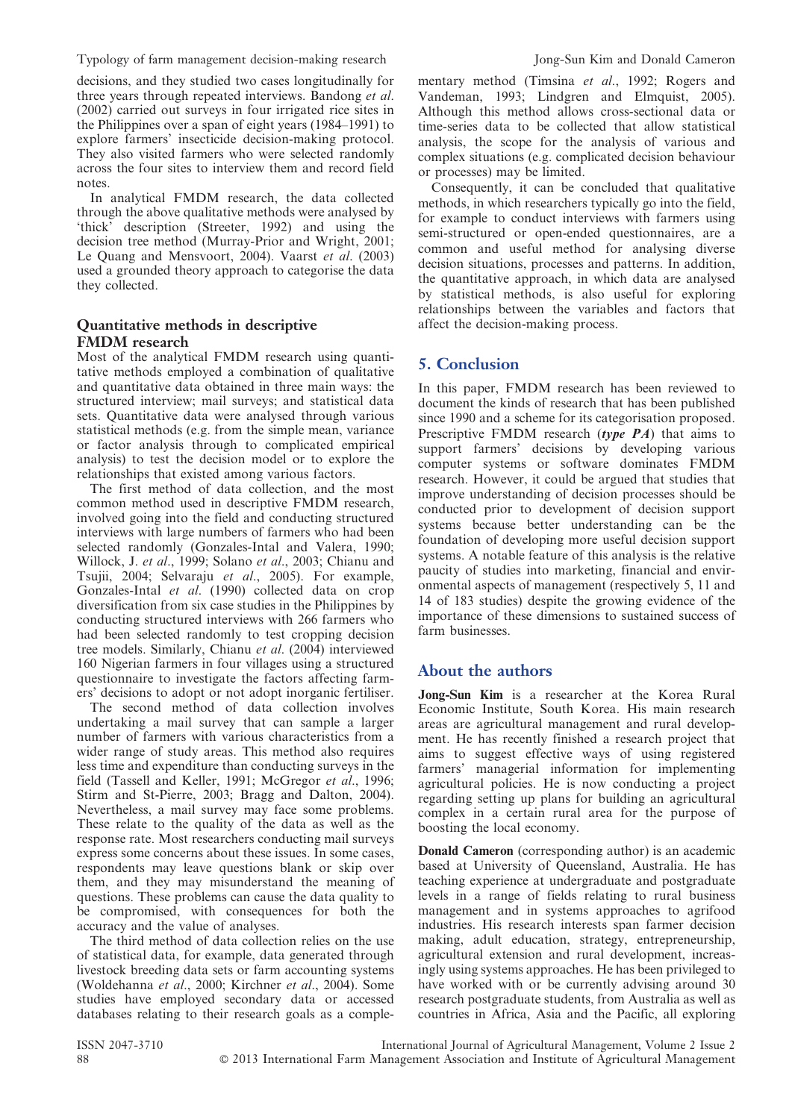decisions, and they studied two cases longitudinally for three years through repeated interviews. Bandong et al. (2002) carried out surveys in four irrigated rice sites in the Philippines over a span of eight years (1984–1991) to explore farmers' insecticide decision-making protocol. They also visited farmers who were selected randomly across the four sites to interview them and record field notes.

In analytical FMDM research, the data collected through the above qualitative methods were analysed by 'thick' description (Streeter, 1992) and using the decision tree method (Murray-Prior and Wright, 2001; Le Quang and Mensvoort, 2004). Vaarst et al. (2003) used a grounded theory approach to categorise the data they collected.

#### Quantitative methods in descriptive FMDM research

Most of the analytical FMDM research using quantitative methods employed a combination of qualitative and quantitative data obtained in three main ways: the structured interview; mail surveys; and statistical data sets. Quantitative data were analysed through various statistical methods (e.g. from the simple mean, variance or factor analysis through to complicated empirical analysis) to test the decision model or to explore the relationships that existed among various factors.

The first method of data collection, and the most common method used in descriptive FMDM research, involved going into the field and conducting structured interviews with large numbers of farmers who had been selected randomly (Gonzales-Intal and Valera, 1990; Willock, J. et al., 1999; Solano et al., 2003; Chianu and Tsujii, 2004; Selvaraju et al., 2005). For example, Gonzales-Intal et al. (1990) collected data on crop diversification from six case studies in the Philippines by conducting structured interviews with 266 farmers who had been selected randomly to test cropping decision tree models. Similarly, Chianu et al. (2004) interviewed 160 Nigerian farmers in four villages using a structured questionnaire to investigate the factors affecting farmers' decisions to adopt or not adopt inorganic fertiliser.

The second method of data collection involves undertaking a mail survey that can sample a larger number of farmers with various characteristics from a wider range of study areas. This method also requires less time and expenditure than conducting surveys in the field (Tassell and Keller, 1991; McGregor et al., 1996; Stirm and St-Pierre, 2003; Bragg and Dalton, 2004). Nevertheless, a mail survey may face some problems. These relate to the quality of the data as well as the response rate. Most researchers conducting mail surveys express some concerns about these issues. In some cases, respondents may leave questions blank or skip over them, and they may misunderstand the meaning of questions. These problems can cause the data quality to be compromised, with consequences for both the accuracy and the value of analyses.

The third method of data collection relies on the use of statistical data, for example, data generated through livestock breeding data sets or farm accounting systems (Woldehanna et al., 2000; Kirchner et al., 2004). Some studies have employed secondary data or accessed databases relating to their research goals as a complementary method (Timsina et al., 1992; Rogers and Vandeman, 1993; Lindgren and Elmquist, 2005). Although this method allows cross-sectional data or time-series data to be collected that allow statistical analysis, the scope for the analysis of various and complex situations (e.g. complicated decision behaviour or processes) may be limited.

Consequently, it can be concluded that qualitative methods, in which researchers typically go into the field, for example to conduct interviews with farmers using semi-structured or open-ended questionnaires, are a common and useful method for analysing diverse decision situations, processes and patterns. In addition, the quantitative approach, in which data are analysed by statistical methods, is also useful for exploring relationships between the variables and factors that affect the decision-making process.

#### 5. Conclusion

In this paper, FMDM research has been reviewed to document the kinds of research that has been published since 1990 and a scheme for its categorisation proposed. Prescriptive FMDM research  $(type\ PA)$  that aims to support farmers' decisions by developing various computer systems or software dominates FMDM research. However, it could be argued that studies that improve understanding of decision processes should be conducted prior to development of decision support systems because better understanding can be the foundation of developing more useful decision support systems. A notable feature of this analysis is the relative paucity of studies into marketing, financial and environmental aspects of management (respectively 5, 11 and 14 of 183 studies) despite the growing evidence of the importance of these dimensions to sustained success of farm businesses.

#### About the authors

Jong-Sun Kim is a researcher at the Korea Rural Economic Institute, South Korea. His main research areas are agricultural management and rural development. He has recently finished a research project that aims to suggest effective ways of using registered farmers' managerial information for implementing agricultural policies. He is now conducting a project regarding setting up plans for building an agricultural complex in a certain rural area for the purpose of boosting the local economy.

Donald Cameron (corresponding author) is an academic based at University of Queensland, Australia. He has teaching experience at undergraduate and postgraduate levels in a range of fields relating to rural business management and in systems approaches to agrifood industries. His research interests span farmer decision making, adult education, strategy, entrepreneurship, agricultural extension and rural development, increasingly using systems approaches. He has been privileged to have worked with or be currently advising around 30 research postgraduate students, from Australia as well as countries in Africa, Asia and the Pacific, all exploring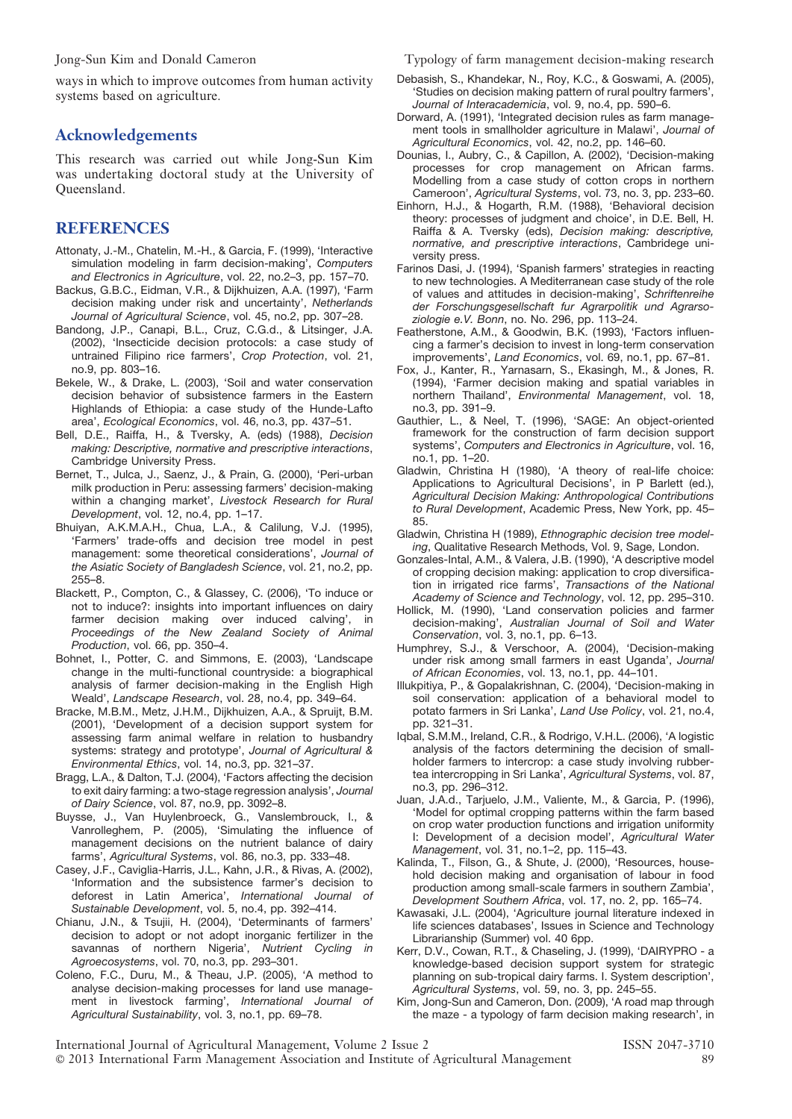ways in which to improve outcomes from human activity systems based on agriculture.

#### Acknowledgements

This research was carried out while Jong-Sun Kim was undertaking doctoral study at the University of Queensland.

#### **REFERENCES**

- Attonaty, J.-M., Chatelin, M.-H., & Garcia, F. (1999), 'Interactive simulation modeling in farm decision-making', Computers and Electronics in Agriculture, vol. 22, no.2–3, pp. 157–70.
- Backus, G.B.C., Eidman, V.R., & Dijkhuizen, A.A. (1997), 'Farm decision making under risk and uncertainty', Netherlands Journal of Agricultural Science, vol. 45, no.2, pp. 307–28.
- Bandong, J.P., Canapi, B.L., Cruz, C.G.d., & Litsinger, J.A. (2002), 'Insecticide decision protocols: a case study of untrained Filipino rice farmers', Crop Protection, vol. 21, no.9, pp. 803–16.
- Bekele, W., & Drake, L. (2003), 'Soil and water conservation decision behavior of subsistence farmers in the Eastern Highlands of Ethiopia: a case study of the Hunde-Lafto area', Ecological Economics, vol. 46, no.3, pp. 437–51.
- Bell, D.E., Raiffa, H., & Tversky, A. (eds) (1988), Decision making: Descriptive, normative and prescriptive interactions, Cambridge University Press.
- Bernet, T., Julca, J., Saenz, J., & Prain, G. (2000), 'Peri-urban milk production in Peru: assessing farmers' decision-making within a changing market', Livestock Research for Rural Development, vol. 12, no.4, pp. 1–17.
- Bhuiyan, A.K.M.A.H., Chua, L.A., & Calilung, V.J. (1995), 'Farmers' trade-offs and decision tree model in pest management: some theoretical considerations', Journal of the Asiatic Society of Bangladesh Science, vol. 21, no.2, pp. 255–8.
- Blackett, P., Compton, C., & Glassey, C. (2006), 'To induce or not to induce?: insights into important influences on dairy farmer decision making over induced calving', in Proceedings of the New Zealand Society of Animal Production, vol. 66, pp. 350–4.
- Bohnet, I., Potter, C. and Simmons, E. (2003), 'Landscape change in the multi-functional countryside: a biographical analysis of farmer decision-making in the English High Weald', Landscape Research, vol. 28, no.4, pp. 349–64.
- Bracke, M.B.M., Metz, J.H.M., Dijkhuizen, A.A., & Spruijt, B.M. (2001), 'Development of a decision support system for assessing farm animal welfare in relation to husbandry systems: strategy and prototype', Journal of Agricultural & Environmental Ethics, vol. 14, no.3, pp. 321–37.
- Bragg, L.A., & Dalton, T.J. (2004), 'Factors affecting the decision to exit dairy farming: a two-stage regression analysis', Journal of Dairy Science, vol. 87, no.9, pp. 3092–8.
- Buysse, J., Van Huylenbroeck, G., Vanslembrouck, I., & Vanrolleghem, P. (2005), 'Simulating the influence of management decisions on the nutrient balance of dairy farms', Agricultural Systems, vol. 86, no.3, pp. 333–48.
- Casey, J.F., Caviglia-Harris, J.L., Kahn, J.R., & Rivas, A. (2002), 'Information and the subsistence farmer's decision to deforest in Latin America', International Journal of Sustainable Development, vol. 5, no.4, pp. 392–414.
- Chianu, J.N., & Tsujii, H. (2004), 'Determinants of farmers' decision to adopt or not adopt inorganic fertilizer in the savannas of northern Nigeria', Nutrient Cycling in Agroecosystems, vol. 70, no.3, pp. 293–301.
- Coleno, F.C., Duru, M., & Theau, J.P. (2005), 'A method to analyse decision-making processes for land use management in livestock farming', International Journal of Agricultural Sustainability, vol. 3, no.1, pp. 69–78.
- Debasish, S., Khandekar, N., Roy, K.C., & Goswami, A. (2005), 'Studies on decision making pattern of rural poultry farmers', Journal of Interacademicia, vol. 9, no.4, pp. 590–6.
- Dorward, A. (1991), 'Integrated decision rules as farm management tools in smallholder agriculture in Malawi', Journal of Agricultural Economics, vol. 42, no.2, pp. 146–60.
- Dounias, I., Aubry, C., & Capillon, A. (2002), 'Decision-making processes for crop management on African farms. Modelling from a case study of cotton crops in northern Cameroon', Agricultural Systems, vol. 73, no. 3, pp. 233–60.
- Einhorn, H.J., & Hogarth, R.M. (1988), 'Behavioral decision theory: processes of judgment and choice', in D.E. Bell, H. Raiffa & A. Tversky (eds), Decision making: descriptive, normative, and prescriptive interactions, Cambridege university press.
- Farinos Dasi, J. (1994), 'Spanish farmers' strategies in reacting to new technologies. A Mediterranean case study of the role of values and attitudes in decision-making', Schriftenreihe der Forschungsgesellschaft fur Agrarpolitik und Agrarsoziologie e.V. Bonn, no. No. 296, pp. 113–24.
- Featherstone, A.M., & Goodwin, B.K. (1993), 'Factors influencing a farmer's decision to invest in long-term conservation improvements', Land Economics, vol. 69, no.1, pp. 67–81.
- Fox, J., Kanter, R., Yarnasarn, S., Ekasingh, M., & Jones, R. (1994), 'Farmer decision making and spatial variables in northern Thailand', Environmental Management, vol. 18, no.3, pp. 391–9.
- Gauthier, L., & Neel, T. (1996), 'SAGE: An object-oriented framework for the construction of farm decision support systems', Computers and Electronics in Agriculture, vol. 16, no.1, pp. 1–20.
- Gladwin, Christina H (1980), 'A theory of real-life choice: Applications to Agricultural Decisions', in P Barlett (ed.), Agricultural Decision Making: Anthropological Contributions to Rural Development, Academic Press, New York, pp. 45– 85.
- Gladwin, Christina H (1989), Ethnographic decision tree modeling, Qualitative Research Methods, Vol. 9, Sage, London.
- Gonzales-Intal, A.M., & Valera, J.B. (1990), 'A descriptive model of cropping decision making: application to crop diversification in irrigated rice farms', Transactions of the National Academy of Science and Technology, vol. 12, pp. 295–310.
- Hollick, M. (1990), 'Land conservation policies and farmer decision-making', Australian Journal of Soil and Water Conservation, vol. 3, no.1, pp. 6–13.
- Humphrey, S.J., & Verschoor, A. (2004), 'Decision-making under risk among small farmers in east Uganda', Journal of African Economies, vol. 13, no.1, pp. 44–101.
- Illukpitiya, P., & Gopalakrishnan, C. (2004), 'Decision-making in soil conservation: application of a behavioral model to potato farmers in Sri Lanka', Land Use Policy, vol. 21, no.4, pp. 321–31.
- Iqbal, S.M.M., Ireland, C.R., & Rodrigo, V.H.L. (2006), 'A logistic analysis of the factors determining the decision of smallholder farmers to intercrop: a case study involving rubbertea intercropping in Sri Lanka', Agricultural Systems, vol. 87, no.3, pp. 296–312.
- Juan, J.A.d., Tarjuelo, J.M., Valiente, M., & Garcia, P. (1996), 'Model for optimal cropping patterns within the farm based on crop water production functions and irrigation uniformity I: Development of a decision model', Agricultural Water Management, vol. 31, no.1–2, pp. 115–43.
- Kalinda, T., Filson, G., & Shute, J. (2000), 'Resources, household decision making and organisation of labour in food production among small-scale farmers in southern Zambia', Development Southern Africa, vol. 17, no. 2, pp. 165–74.
- Kawasaki, J.L. (2004), 'Agriculture journal literature indexed in life sciences databases', Issues in Science and Technology Librarianship (Summer) vol. 40 6pp.
- Kerr, D.V., Cowan, R.T., & Chaseling, J. (1999), 'DAIRYPRO a knowledge-based decision support system for strategic planning on sub-tropical dairy farms. I. System description', Agricultural Systems, vol. 59, no. 3, pp. 245–55.
- Kim, Jong-Sun and Cameron, Don. (2009), 'A road map through the maze - a typology of farm decision making research', in